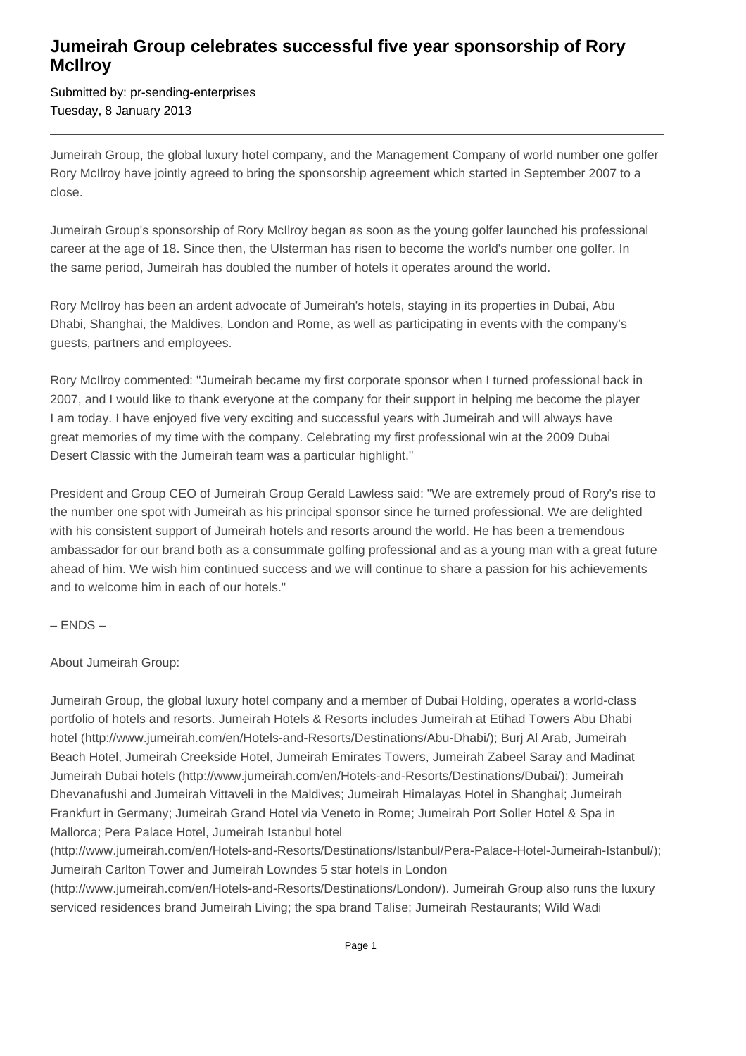## **Jumeirah Group celebrates successful five year sponsorship of Rory McIlroy**

Submitted by: pr-sending-enterprises Tuesday, 8 January 2013

Jumeirah Group, the global luxury hotel company, and the Management Company of world number one golfer Rory McIlroy have jointly agreed to bring the sponsorship agreement which started in September 2007 to a close.

Jumeirah Group's sponsorship of Rory McIlroy began as soon as the young golfer launched his professional career at the age of 18. Since then, the Ulsterman has risen to become the world's number one golfer. In the same period, Jumeirah has doubled the number of hotels it operates around the world.

Rory McIlroy has been an ardent advocate of Jumeirah's hotels, staying in its properties in Dubai, Abu Dhabi, Shanghai, the Maldives, London and Rome, as well as participating in events with the company's guests, partners and employees.

Rory McIlroy commented: "Jumeirah became my first corporate sponsor when I turned professional back in 2007, and I would like to thank everyone at the company for their support in helping me become the player I am today. I have enjoyed five very exciting and successful years with Jumeirah and will always have great memories of my time with the company. Celebrating my first professional win at the 2009 Dubai Desert Classic with the Jumeirah team was a particular highlight."

President and Group CEO of Jumeirah Group Gerald Lawless said: "We are extremely proud of Rory's rise to the number one spot with Jumeirah as his principal sponsor since he turned professional. We are delighted with his consistent support of Jumeirah hotels and resorts around the world. He has been a tremendous ambassador for our brand both as a consummate golfing professional and as a young man with a great future ahead of him. We wish him continued success and we will continue to share a passion for his achievements and to welcome him in each of our hotels."

– ENDS –

About Jumeirah Group:

Jumeirah Group, the global luxury hotel company and a member of Dubai Holding, operates a world-class portfolio of hotels and resorts. Jumeirah Hotels & Resorts includes Jumeirah at Etihad Towers Abu Dhabi hotel (http://www.jumeirah.com/en/Hotels-and-Resorts/Destinations/Abu-Dhabi/); Burj Al Arab, Jumeirah Beach Hotel, Jumeirah Creekside Hotel, Jumeirah Emirates Towers, Jumeirah Zabeel Saray and Madinat Jumeirah Dubai hotels (http://www.jumeirah.com/en/Hotels-and-Resorts/Destinations/Dubai/); Jumeirah Dhevanafushi and Jumeirah Vittaveli in the Maldives; Jumeirah Himalayas Hotel in Shanghai; Jumeirah Frankfurt in Germany; Jumeirah Grand Hotel via Veneto in Rome; Jumeirah Port Soller Hotel & Spa in Mallorca; Pera Palace Hotel, Jumeirah Istanbul hotel

(http://www.jumeirah.com/en/Hotels-and-Resorts/Destinations/Istanbul/Pera-Palace-Hotel-Jumeirah-Istanbul/); Jumeirah Carlton Tower and Jumeirah Lowndes 5 star hotels in London

(http://www.jumeirah.com/en/Hotels-and-Resorts/Destinations/London/). Jumeirah Group also runs the luxury serviced residences brand Jumeirah Living; the spa brand Talise; Jumeirah Restaurants; Wild Wadi